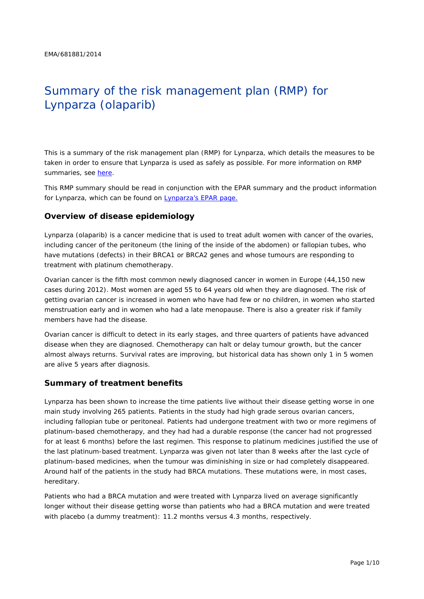# Summary of the risk management plan (RMP) for Lynparza (olaparib)

This is a summary of the risk management plan (RMP) for Lynparza, which details the measures to be taken in order to ensure that Lynparza is used as safely as possible. For more information on RMP summaries, see [here.](http://www.ema.europa.eu/docs/en_GB/document_library/Other/2014/05/WC500166101.pdf)

This RMP summary should be read in conjunction with the EPAR summary and the product information for Lynparza, which can be found on [Lynparza's EPAR page.](http://www.ema.europa.eu/ema/index.jsp?curl=/pages/medicines/human/medicines/003726/human_med_001831.jsp)

#### **Overview of disease epidemiology**

Lynparza (olaparib) is a cancer medicine that is used to treat adult women with cancer of the ovaries, including cancer of the peritoneum (the lining of the inside of the abdomen) or fallopian tubes, who have mutations (defects) in their *BRCA*1 or *BRCA*2 genes and whose tumours are responding to treatment with platinum chemotherapy.

Ovarian cancer is the fifth most common newly diagnosed cancer in women in Europe (44,150 new cases during 2012). Most women are aged 55 to 64 years old when they are diagnosed. The risk of getting ovarian cancer is increased in women who have had few or no children, in women who started menstruation early and in women who had a late menopause. There is also a greater risk if family members have had the disease.

Ovarian cancer is difficult to detect in its early stages, and three quarters of patients have advanced disease when they are diagnosed. Chemotherapy can halt or delay tumour growth, but the cancer almost always returns. Survival rates are improving, but historical data has shown only 1 in 5 women are alive 5 years after diagnosis.

#### **Summary of treatment benefits**

Lynparza has been shown to increase the time patients live without their disease getting worse in one main study involving 265 patients. Patients in the study had high grade serous ovarian cancers, including fallopian tube or peritoneal. Patients had undergone treatment with two or more regimens of platinum-based chemotherapy, and they had had a durable response (the cancer had not progressed for at least 6 months) before the last regimen. This response to platinum medicines justified the use of the last platinum-based treatment. Lynparza was given not later than 8 weeks after the last cycle of platinum-based medicines, when the tumour was diminishing in size or had completely disappeared. Around half of the patients in the study had *BRCA* mutations. These mutations were, in most cases, hereditary.

Patients who had a *BRCA* mutation and were treated with Lynparza lived on average significantly longer without their disease getting worse than patients who had a *BRCA* mutation and were treated with placebo (a dummy treatment): 11.2 months versus 4.3 months, respectively.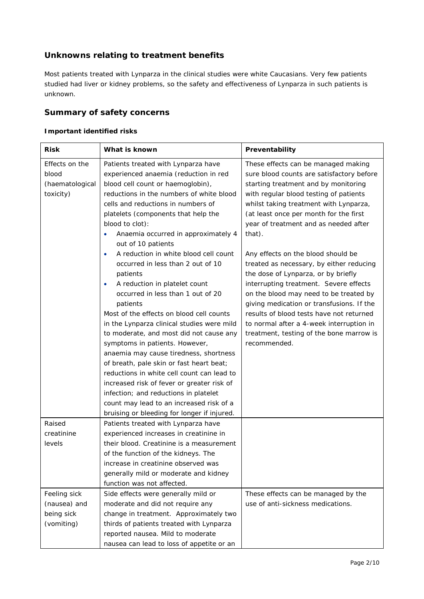# **Unknowns relating to treatment benefits**

Most patients treated with Lynparza in the clinical studies were white Caucasians. Very few patients studied had liver or kidney problems, so the safety and effectiveness of Lynparza in such patients is unknown.

### **Summary of safety concerns**

#### *Important identified risks*

| <b>Risk</b>                                              | What is known                                                                                                                                                                                                                                                                                                                                                                                                                                                                                                        | Preventability                                                                                                                                                                                                                                                                                                                                                                                                                                                                                                         |
|----------------------------------------------------------|----------------------------------------------------------------------------------------------------------------------------------------------------------------------------------------------------------------------------------------------------------------------------------------------------------------------------------------------------------------------------------------------------------------------------------------------------------------------------------------------------------------------|------------------------------------------------------------------------------------------------------------------------------------------------------------------------------------------------------------------------------------------------------------------------------------------------------------------------------------------------------------------------------------------------------------------------------------------------------------------------------------------------------------------------|
| Effects on the<br>blood<br>(haematological<br>toxicity)  | Patients treated with Lynparza have<br>experienced anaemia (reduction in red<br>blood cell count or haemoglobin),<br>reductions in the numbers of white blood<br>cells and reductions in numbers of<br>platelets (components that help the<br>blood to clot):<br>Anaemia occurred in approximately 4<br>out of 10 patients<br>A reduction in white blood cell count<br>$\bullet$<br>occurred in less than 2 out of 10<br>patients<br>A reduction in platelet count<br>$\bullet$<br>occurred in less than 1 out of 20 | These effects can be managed making<br>sure blood counts are satisfactory before<br>starting treatment and by monitoring<br>with regular blood testing of patients<br>whilst taking treatment with Lynparza,<br>(at least once per month for the first<br>year of treatment and as needed after<br>that).<br>Any effects on the blood should be<br>treated as necessary, by either reducing<br>the dose of Lynparza, or by briefly<br>interrupting treatment. Severe effects<br>on the blood may need to be treated by |
|                                                          | patients<br>Most of the effects on blood cell counts<br>in the Lynparza clinical studies were mild<br>to moderate, and most did not cause any<br>symptoms in patients. However,<br>anaemia may cause tiredness, shortness<br>of breath, pale skin or fast heart beat;<br>reductions in white cell count can lead to<br>increased risk of fever or greater risk of<br>infection; and reductions in platelet<br>count may lead to an increased risk of a<br>bruising or bleeding for longer if injured.                | giving medication or transfusions. If the<br>results of blood tests have not returned<br>to normal after a 4-week interruption in<br>treatment, testing of the bone marrow is<br>recommended.                                                                                                                                                                                                                                                                                                                          |
| Raised<br>creatinine<br>levels                           | Patients treated with Lynparza have<br>experienced increases in creatinine in<br>their blood. Creatinine is a measurement<br>of the function of the kidneys. The<br>increase in creatinine observed was<br>generally mild or moderate and kidney<br>function was not affected.                                                                                                                                                                                                                                       |                                                                                                                                                                                                                                                                                                                                                                                                                                                                                                                        |
| Feeling sick<br>(nausea) and<br>being sick<br>(vomiting) | Side effects were generally mild or<br>moderate and did not require any<br>change in treatment. Approximately two<br>thirds of patients treated with Lynparza<br>reported nausea. Mild to moderate<br>nausea can lead to loss of appetite or an                                                                                                                                                                                                                                                                      | These effects can be managed by the<br>use of anti-sickness medications.                                                                                                                                                                                                                                                                                                                                                                                                                                               |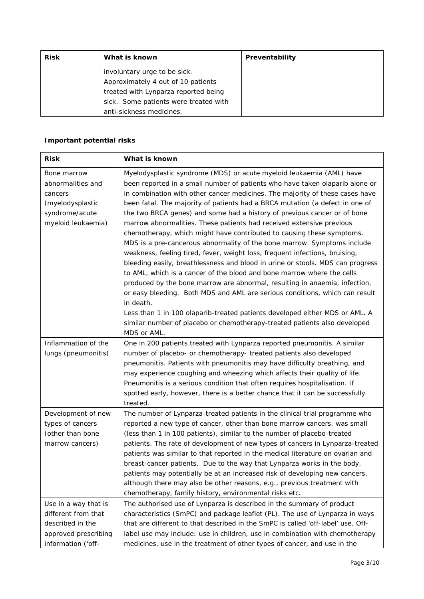| <b>Risk</b> | What is known                         | Preventability |
|-------------|---------------------------------------|----------------|
|             | involuntary urge to be sick.          |                |
|             | Approximately 4 out of 10 patients    |                |
|             | treated with Lynparza reported being  |                |
|             | sick. Some patients were treated with |                |
|             | anti-sickness medicines.              |                |

#### *Important potential risks*

| <b>Risk</b>                                                                                                   | What is known                                                                                                                                                                                                                                                                                                                                                                                                                                                                                                                                                                                                                                                                                                                                                                                                                                                                                                                                                                                                                                                                                                                                                                                                                |
|---------------------------------------------------------------------------------------------------------------|------------------------------------------------------------------------------------------------------------------------------------------------------------------------------------------------------------------------------------------------------------------------------------------------------------------------------------------------------------------------------------------------------------------------------------------------------------------------------------------------------------------------------------------------------------------------------------------------------------------------------------------------------------------------------------------------------------------------------------------------------------------------------------------------------------------------------------------------------------------------------------------------------------------------------------------------------------------------------------------------------------------------------------------------------------------------------------------------------------------------------------------------------------------------------------------------------------------------------|
| Bone marrow<br>abnormalities and<br>cancers<br>(myelodysplastic<br>syndrome/acute<br>myeloid leukaemia)       | Myelodysplastic syndrome (MDS) or acute myeloid leukaemia (AML) have<br>been reported in a small number of patients who have taken olaparib alone or<br>in combination with other cancer medicines. The majority of these cases have<br>been fatal. The majority of patients had a BRCA mutation (a defect in one of<br>the two BRCA genes) and some had a history of previous cancer or of bone<br>marrow abnormalities. These patients had received extensive previous<br>chemotherapy, which might have contributed to causing these symptoms.<br>MDS is a pre-cancerous abnormality of the bone marrow. Symptoms include<br>weakness, feeling tired, fever, weight loss, frequent infections, bruising,<br>bleeding easily, breathlessness and blood in urine or stools. MDS can progress<br>to AML, which is a cancer of the blood and bone marrow where the cells<br>produced by the bone marrow are abnormal, resulting in anaemia, infection,<br>or easy bleeding. Both MDS and AML are serious conditions, which can result<br>in death.<br>Less than 1 in 100 olaparib-treated patients developed either MDS or AML. A<br>similar number of placebo or chemotherapy-treated patients also developed<br>MDS or AML. |
| Inflammation of the<br>lungs (pneumonitis)                                                                    | One in 200 patients treated with Lynparza reported pneumonitis. A similar<br>number of placebo- or chemotherapy- treated patients also developed<br>pneumonitis. Patients with pneumonitis may have difficulty breathing, and<br>may experience coughing and wheezing which affects their quality of life.<br>Pneumonitis is a serious condition that often requires hospitalisation. If<br>spotted early, however, there is a better chance that it can be successfully<br>treated.                                                                                                                                                                                                                                                                                                                                                                                                                                                                                                                                                                                                                                                                                                                                         |
| Development of new<br>types of cancers<br>(other than bone<br>marrow cancers)                                 | The number of Lynparza-treated patients in the clinical trial programme who<br>reported a new type of cancer, other than bone marrow cancers, was small<br>(less than 1 in 100 patients), similar to the number of placebo-treated<br>patients. The rate of development of new types of cancers in Lynparza-treated<br>patients was similar to that reported in the medical literature on ovarian and<br>breast-cancer patients. Due to the way that Lynparza works in the body,<br>patients may potentially be at an increased risk of developing new cancers,<br>although there may also be other reasons, e.g., previous treatment with<br>chemotherapy, family history, environmental risks etc.                                                                                                                                                                                                                                                                                                                                                                                                                                                                                                                         |
| Use in a way that is<br>different from that<br>described in the<br>approved prescribing<br>information ('off- | The authorised use of Lynparza is described in the summary of product<br>characteristics (SmPC) and package leaflet (PL). The use of Lynparza in ways<br>that are different to that described in the SmPC is called 'off-label' use. Off-<br>label use may include: use in children, use in combination with chemotherapy<br>medicines, use in the treatment of other types of cancer, and use in the                                                                                                                                                                                                                                                                                                                                                                                                                                                                                                                                                                                                                                                                                                                                                                                                                        |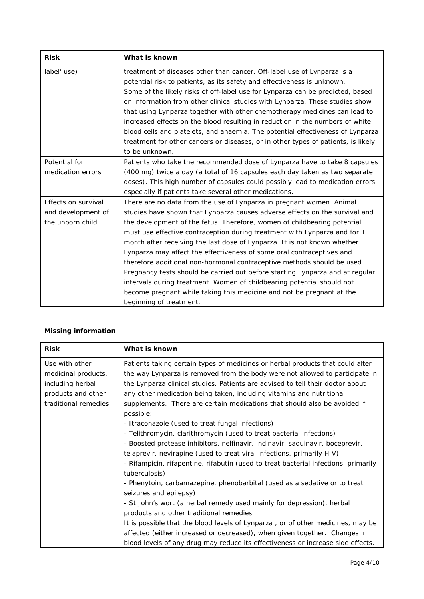| <b>Risk</b>         | What is known                                                                     |
|---------------------|-----------------------------------------------------------------------------------|
| label' use)         | treatment of diseases other than cancer. Off-label use of Lynparza is a           |
|                     | potential risk to patients, as its safety and effectiveness is unknown.           |
|                     | Some of the likely risks of off-label use for Lynparza can be predicted, based    |
|                     | on information from other clinical studies with Lynparza. These studies show      |
|                     | that using Lynparza together with other chemotherapy medicines can lead to        |
|                     | increased effects on the blood resulting in reduction in the numbers of white     |
|                     | blood cells and platelets, and anaemia. The potential effectiveness of Lynparza   |
|                     | treatment for other cancers or diseases, or in other types of patients, is likely |
|                     | to be unknown.                                                                    |
| Potential for       | Patients who take the recommended dose of Lynparza have to take 8 capsules        |
| medication errors   | (400 mg) twice a day (a total of 16 capsules each day taken as two separate       |
|                     | doses). This high number of capsules could possibly lead to medication errors     |
|                     | especially if patients take several other medications.                            |
| Effects on survival | There are no data from the use of Lynparza in pregnant women. Animal              |
| and development of  | studies have shown that Lynparza causes adverse effects on the survival and       |
| the unborn child    | the development of the fetus. Therefore, women of childbearing potential          |
|                     | must use effective contraception during treatment with Lynparza and for 1         |
|                     | month after receiving the last dose of Lynparza. It is not known whether          |
|                     | Lynparza may affect the effectiveness of some oral contraceptives and             |
|                     | therefore additional non-hormonal contraceptive methods should be used.           |
|                     | Pregnancy tests should be carried out before starting Lynparza and at regular     |
|                     | intervals during treatment. Women of childbearing potential should not            |
|                     | become pregnant while taking this medicine and not be pregnant at the             |
|                     | beginning of treatment.                                                           |

#### *Missing information*

| <b>Risk</b>          | What is known                                                                       |
|----------------------|-------------------------------------------------------------------------------------|
| Use with other       | Patients taking certain types of medicines or herbal products that could alter      |
| medicinal products,  | the way Lynparza is removed from the body were not allowed to participate in        |
| including herbal     | the Lynparza clinical studies. Patients are advised to tell their doctor about      |
| products and other   | any other medication being taken, including vitamins and nutritional                |
| traditional remedies | supplements. There are certain medications that should also be avoided if           |
|                      | possible:                                                                           |
|                      | - Itraconazole (used to treat fungal infections)                                    |
|                      | - Telithromycin, clarithromycin (used to treat bacterial infections)                |
|                      | - Boosted protease inhibitors, nelfinavir, indinavir, saquinavir, boceprevir,       |
|                      | telaprevir, nevirapine (used to treat viral infections, primarily HIV)              |
|                      | - Rifampicin, rifapentine, rifabutin (used to treat bacterial infections, primarily |
|                      | tuberculosis)                                                                       |
|                      | - Phenytoin, carbamazepine, phenobarbital (used as a sedative or to treat           |
|                      | seizures and epilepsy)                                                              |
|                      | - St John's wort (a herbal remedy used mainly for depression), herbal               |
|                      | products and other traditional remedies.                                            |
|                      | It is possible that the blood levels of Lynparza, or of other medicines, may be     |
|                      | affected (either increased or decreased), when given together. Changes in           |
|                      | blood levels of any drug may reduce its effectiveness or increase side effects.     |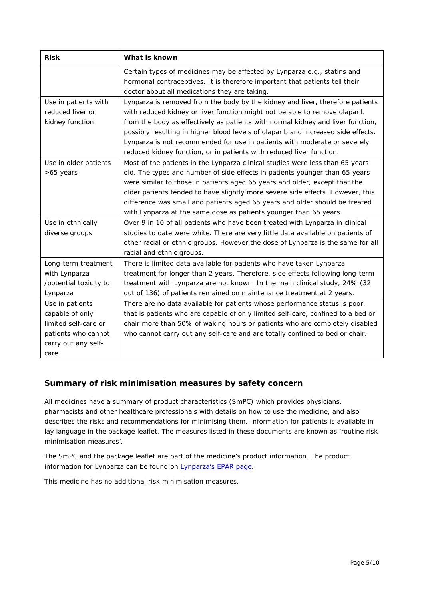| <b>Risk</b>            | What is known                                                                     |
|------------------------|-----------------------------------------------------------------------------------|
|                        | Certain types of medicines may be affected by Lynparza e.g., statins and          |
|                        | hormonal contraceptives. It is therefore important that patients tell their       |
|                        | doctor about all medications they are taking.                                     |
| Use in patients with   | Lynparza is removed from the body by the kidney and liver, therefore patients     |
| reduced liver or       | with reduced kidney or liver function might not be able to remove olaparib        |
| kidney function        | from the body as effectively as patients with normal kidney and liver function,   |
|                        | possibly resulting in higher blood levels of olaparib and increased side effects. |
|                        | Lynparza is not recommended for use in patients with moderate or severely         |
|                        | reduced kidney function, or in patients with reduced liver function.              |
| Use in older patients  | Most of the patients in the Lynparza clinical studies were less than 65 years     |
| >65 years              | old. The types and number of side effects in patients younger than 65 years       |
|                        | were similar to those in patients aged 65 years and older, except that the        |
|                        | older patients tended to have slightly more severe side effects. However, this    |
|                        | difference was small and patients aged 65 years and older should be treated       |
|                        | with Lynparza at the same dose as patients younger than 65 years.                 |
| Use in ethnically      | Over 9 in 10 of all patients who have been treated with Lynparza in clinical      |
| diverse groups         | studies to date were white. There are very little data available on patients of   |
|                        | other racial or ethnic groups. However the dose of Lynparza is the same for all   |
|                        | racial and ethnic groups.                                                         |
| Long-term treatment    | There is limited data available for patients who have taken Lynparza              |
| with Lynparza          | treatment for longer than 2 years. Therefore, side effects following long-term    |
| /potential toxicity to | treatment with Lynparza are not known. In the main clinical study, 24% (32        |
| Lynparza               | out of 136) of patients remained on maintenance treatment at 2 years.             |
| Use in patients        | There are no data available for patients whose performance status is poor,        |
| capable of only        | that is patients who are capable of only limited self-care, confined to a bed or  |
| limited self-care or   | chair more than 50% of waking hours or patients who are completely disabled       |
| patients who cannot    | who cannot carry out any self-care and are totally confined to bed or chair.      |
| carry out any self-    |                                                                                   |
| care.                  |                                                                                   |

# **Summary of risk minimisation measures by safety concern**

All medicines have a summary of product characteristics (SmPC) which provides physicians, pharmacists and other healthcare professionals with details on how to use the medicine, and also describes the risks and recommendations for minimising them. Information for patients is available in lay language in the package leaflet. The measures listed in these documents are known as 'routine risk minimisation measures'.

The SmPC and the package leaflet are part of the medicine's product information. The product information for Lynparza can be found on [Lynparza's EPAR page.](http://www.ema.europa.eu/ema/index.jsp?curl=/pages/medicines/human/medicines/003726/human_med_001831.jsp)

This medicine has no additional risk minimisation measures.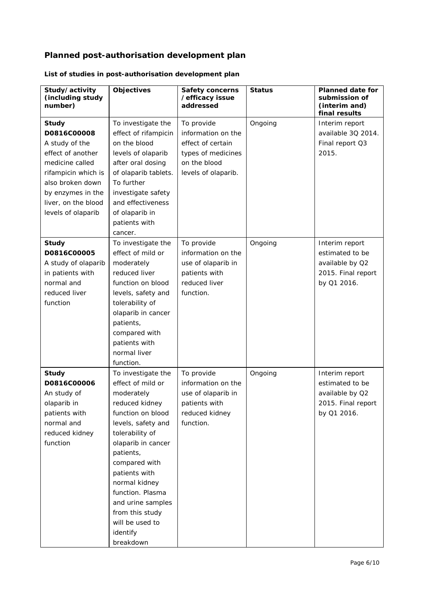# **Planned post-authorisation development plan**

| Study/activity<br>(including study<br>number) | <b>Objectives</b>                     | <b>Safety concerns</b><br>/efficacy issue<br>addressed | <b>Status</b> | <b>Planned date for</b><br>submission of<br>(interim and)<br>final results |
|-----------------------------------------------|---------------------------------------|--------------------------------------------------------|---------------|----------------------------------------------------------------------------|
| <b>Study</b>                                  | To investigate the                    | To provide                                             | Ongoing       | Interim report                                                             |
| D0816C00008                                   | effect of rifampicin                  | information on the                                     |               | available 3Q 2014.                                                         |
| A study of the                                | on the blood                          | effect of certain                                      |               | Final report Q3                                                            |
| effect of another                             | levels of olaparib                    | types of medicines                                     |               | 2015.                                                                      |
| medicine called                               | after oral dosing                     | on the blood                                           |               |                                                                            |
| rifampicin which is                           | of olaparib tablets.                  | levels of olaparib.                                    |               |                                                                            |
| also broken down                              | To further                            |                                                        |               |                                                                            |
| by enzymes in the                             | investigate safety                    |                                                        |               |                                                                            |
| liver, on the blood                           | and effectiveness                     |                                                        |               |                                                                            |
| levels of olaparib                            | of olaparib in                        |                                                        |               |                                                                            |
|                                               | patients with                         |                                                        |               |                                                                            |
|                                               | cancer.                               |                                                        |               |                                                                            |
| <b>Study</b>                                  | To investigate the                    | To provide                                             | Ongoing       | Interim report                                                             |
| D0816C00005                                   | effect of mild or                     | information on the                                     |               | estimated to be                                                            |
| A study of olaparib                           | moderately                            | use of olaparib in                                     |               | available by Q2                                                            |
| in patients with                              | reduced liver                         | patients with                                          |               | 2015. Final report                                                         |
| normal and<br>reduced liver                   | function on blood                     | reduced liver<br>function.                             |               | by Q1 2016.                                                                |
| function                                      | levels, safety and                    |                                                        |               |                                                                            |
|                                               | tolerability of<br>olaparib in cancer |                                                        |               |                                                                            |
|                                               | patients,                             |                                                        |               |                                                                            |
|                                               | compared with                         |                                                        |               |                                                                            |
|                                               | patients with                         |                                                        |               |                                                                            |
|                                               | normal liver                          |                                                        |               |                                                                            |
|                                               | function.                             |                                                        |               |                                                                            |
| <b>Study</b>                                  | To investigate the                    | To provide                                             | Ongoing       | Interim report                                                             |
| D0816C00006                                   | effect of mild or                     | information on the                                     |               | estimated to be                                                            |
| An study of                                   | moderately                            | use of olaparib in                                     |               | available by Q2                                                            |
| olaparib in                                   | reduced kidney                        | patients with                                          |               | 2015. Final report                                                         |
| patients with                                 | function on blood                     | reduced kidney                                         |               | by Q1 2016.                                                                |
| normal and                                    | levels, safety and                    | function.                                              |               |                                                                            |
| reduced kidney                                | tolerability of                       |                                                        |               |                                                                            |
| function                                      | olaparib in cancer                    |                                                        |               |                                                                            |
|                                               | patients,                             |                                                        |               |                                                                            |
|                                               | compared with                         |                                                        |               |                                                                            |
|                                               | patients with                         |                                                        |               |                                                                            |
|                                               | normal kidney                         |                                                        |               |                                                                            |
|                                               | function. Plasma                      |                                                        |               |                                                                            |
|                                               | and urine samples                     |                                                        |               |                                                                            |
|                                               | from this study                       |                                                        |               |                                                                            |
|                                               | will be used to                       |                                                        |               |                                                                            |
|                                               | identify                              |                                                        |               |                                                                            |
|                                               | breakdown                             |                                                        |               |                                                                            |

# *List of studies in post-authorisation development plan*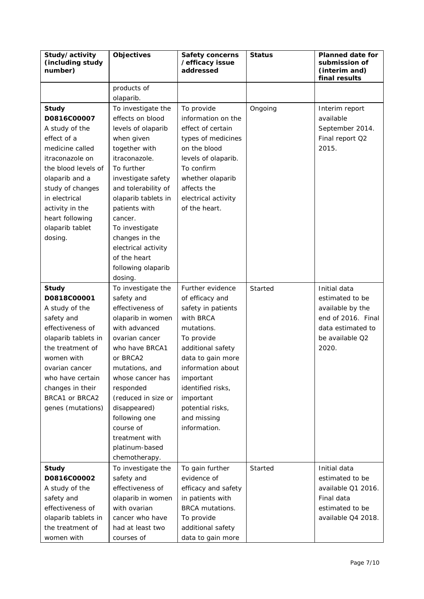| Study/activity<br>(including study<br>number) | <b>Objectives</b>               | <b>Safety concerns</b><br>/efficacy issue<br>addressed | <b>Status</b> | <b>Planned date for</b><br>submission of<br>(interim and)<br>final results |
|-----------------------------------------------|---------------------------------|--------------------------------------------------------|---------------|----------------------------------------------------------------------------|
|                                               | products of                     |                                                        |               |                                                                            |
|                                               | olaparib.                       |                                                        |               |                                                                            |
| <b>Study</b>                                  | To investigate the              | To provide                                             | Ongoing       | Interim report                                                             |
| D0816C00007                                   | effects on blood                | information on the                                     |               | available                                                                  |
| A study of the                                | levels of olaparib              | effect of certain                                      |               | September 2014.                                                            |
| effect of a                                   | when given                      | types of medicines                                     |               | Final report Q2                                                            |
| medicine called                               | together with                   | on the blood                                           |               | 2015.                                                                      |
| itraconazole on                               | itraconazole.                   | levels of olaparib.                                    |               |                                                                            |
| the blood levels of                           | To further                      | To confirm                                             |               |                                                                            |
| olaparib and a                                | investigate safety              | whether olaparib                                       |               |                                                                            |
| study of changes                              | and tolerability of             | affects the                                            |               |                                                                            |
| in electrical                                 | olaparib tablets in             | electrical activity                                    |               |                                                                            |
| activity in the                               | patients with                   | of the heart.                                          |               |                                                                            |
| heart following                               | cancer.                         |                                                        |               |                                                                            |
| olaparib tablet                               | To investigate                  |                                                        |               |                                                                            |
| dosing.                                       | changes in the                  |                                                        |               |                                                                            |
|                                               | electrical activity             |                                                        |               |                                                                            |
|                                               | of the heart                    |                                                        |               |                                                                            |
|                                               | following olaparib              |                                                        |               |                                                                            |
|                                               | dosing.                         |                                                        |               |                                                                            |
| <b>Study</b>                                  | To investigate the              | Further evidence                                       | Started       | Initial data                                                               |
| D0818C00001                                   | safety and                      | of efficacy and                                        |               | estimated to be                                                            |
| A study of the                                | effectiveness of                | safety in patients                                     |               | available by the                                                           |
| safety and                                    | olaparib in women               | with BRCA                                              |               | end of 2016. Final                                                         |
| effectiveness of                              | with advanced                   | mutations.                                             |               | data estimated to                                                          |
| olaparib tablets in                           | ovarian cancer                  | To provide                                             |               | be available Q2                                                            |
| the treatment of                              | who have BRCA1                  | additional safety                                      |               | 2020.                                                                      |
| women with                                    | or BRCA2                        | data to gain more                                      |               |                                                                            |
| ovarian cancer                                | mutations, and                  | information about                                      |               |                                                                            |
| who have certain                              | whose cancer has                | important                                              |               |                                                                            |
| changes in their                              | responded                       | identified risks,                                      |               |                                                                            |
| BRCA1 or BRCA2                                | (reduced in size or             | important                                              |               |                                                                            |
| genes (mutations)                             | disappeared)                    | potential risks,                                       |               |                                                                            |
|                                               | following one                   | and missing                                            |               |                                                                            |
|                                               | course of                       | information.                                           |               |                                                                            |
|                                               | treatment with                  |                                                        |               |                                                                            |
|                                               | platinum-based<br>chemotherapy. |                                                        |               |                                                                            |
|                                               | To investigate the              |                                                        | Started       | Initial data                                                               |
| <b>Study</b><br>D0816C00002                   | safety and                      | To gain further<br>evidence of                         |               | estimated to be                                                            |
| A study of the                                | effectiveness of                | efficacy and safety                                    |               | available Q1 2016.                                                         |
| safety and                                    | olaparib in women               | in patients with                                       |               | Final data                                                                 |
| effectiveness of                              | with ovarian                    | BRCA mutations.                                        |               | estimated to be                                                            |
| olaparib tablets in                           | cancer who have                 | To provide                                             |               | available Q4 2018.                                                         |
| the treatment of                              | had at least two                | additional safety                                      |               |                                                                            |
| women with                                    | courses of                      | data to gain more                                      |               |                                                                            |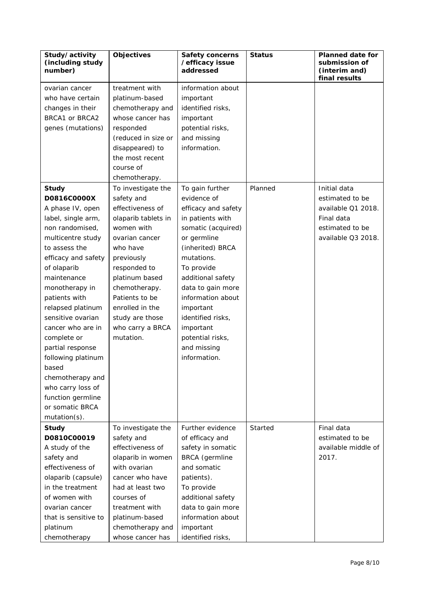| Study/activity<br>(including study<br>number) | Objectives          | <b>Safety concerns</b><br>/efficacy issue<br>addressed | <b>Status</b> | <b>Planned date for</b><br>submission of<br>(interim and)<br>final results |
|-----------------------------------------------|---------------------|--------------------------------------------------------|---------------|----------------------------------------------------------------------------|
| ovarian cancer                                | treatment with      | information about                                      |               |                                                                            |
| who have certain                              | platinum-based      | important                                              |               |                                                                            |
| changes in their                              | chemotherapy and    | identified risks,                                      |               |                                                                            |
| BRCA1 or BRCA2                                | whose cancer has    | important                                              |               |                                                                            |
| genes (mutations)                             | responded           | potential risks,                                       |               |                                                                            |
|                                               | (reduced in size or | and missing                                            |               |                                                                            |
|                                               | disappeared) to     | information.                                           |               |                                                                            |
|                                               | the most recent     |                                                        |               |                                                                            |
|                                               | course of           |                                                        |               |                                                                            |
|                                               | chemotherapy.       |                                                        |               |                                                                            |
| <b>Study</b>                                  | To investigate the  | To gain further                                        | Planned       | Initial data                                                               |
| D0816C0000X                                   | safety and          | evidence of                                            |               | estimated to be                                                            |
| A phase IV, open                              | effectiveness of    | efficacy and safety                                    |               | available Q1 2018.                                                         |
| label, single arm,                            | olaparib tablets in | in patients with                                       |               | Final data                                                                 |
| non randomised,                               | women with          | somatic (acquired)                                     |               | estimated to be                                                            |
| multicentre study                             | ovarian cancer      | or germline                                            |               | available Q3 2018.                                                         |
| to assess the                                 | who have            | (inherited) BRCA                                       |               |                                                                            |
| efficacy and safety                           | previously          | mutations.                                             |               |                                                                            |
| of olaparib                                   | responded to        | To provide                                             |               |                                                                            |
| maintenance                                   | platinum based      | additional safety                                      |               |                                                                            |
| monotherapy in                                | chemotherapy.       | data to gain more                                      |               |                                                                            |
| patients with                                 | Patients to be      | information about                                      |               |                                                                            |
| relapsed platinum                             | enrolled in the     | important                                              |               |                                                                            |
| sensitive ovarian                             | study are those     | identified risks,                                      |               |                                                                            |
| cancer who are in                             | who carry a BRCA    | important                                              |               |                                                                            |
| complete or                                   | mutation.           | potential risks,                                       |               |                                                                            |
| partial response                              |                     | and missing                                            |               |                                                                            |
| following platinum                            |                     | information.                                           |               |                                                                            |
| based                                         |                     |                                                        |               |                                                                            |
| chemotherapy and                              |                     |                                                        |               |                                                                            |
| who carry loss of                             |                     |                                                        |               |                                                                            |
| function germline                             |                     |                                                        |               |                                                                            |
| or somatic BRCA                               |                     |                                                        |               |                                                                            |
| mutation(s).                                  |                     |                                                        |               |                                                                            |
| <b>Study</b>                                  | To investigate the  | Further evidence                                       | Started       | Final data                                                                 |
| D0810C00019                                   | safety and          | of efficacy and                                        |               | estimated to be                                                            |
| A study of the                                | effectiveness of    | safety in somatic                                      |               | available middle of                                                        |
| safety and                                    | olaparib in women   | BRCA (germline                                         |               | 2017.                                                                      |
| effectiveness of                              | with ovarian        | and somatic                                            |               |                                                                            |
| olaparib (capsule)                            | cancer who have     | patients).                                             |               |                                                                            |
| in the treatment                              | had at least two    | To provide                                             |               |                                                                            |
| of women with                                 | courses of          | additional safety                                      |               |                                                                            |
| ovarian cancer                                | treatment with      | data to gain more                                      |               |                                                                            |
| that is sensitive to                          | platinum-based      | information about                                      |               |                                                                            |
| platinum                                      | chemotherapy and    | important                                              |               |                                                                            |
| chemotherapy                                  | whose cancer has    | identified risks,                                      |               |                                                                            |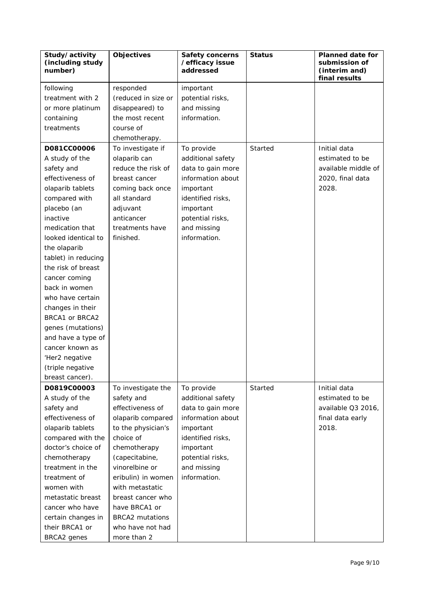| Study/activity<br>(including study<br>number) | <b>Objectives</b>      | <b>Safety concerns</b><br>/efficacy issue<br>addressed | <b>Status</b> | <b>Planned date for</b><br>submission of<br>(interim and)<br>final results |
|-----------------------------------------------|------------------------|--------------------------------------------------------|---------------|----------------------------------------------------------------------------|
| following                                     | responded              | important                                              |               |                                                                            |
| treatment with 2                              | (reduced in size or    | potential risks,                                       |               |                                                                            |
| or more platinum                              | disappeared) to        | and missing                                            |               |                                                                            |
| containing                                    | the most recent        | information.                                           |               |                                                                            |
| treatments                                    | course of              |                                                        |               |                                                                            |
|                                               | chemotherapy.          |                                                        |               |                                                                            |
| D081CC00006                                   | To investigate if      | To provide                                             | Started       | Initial data                                                               |
| A study of the                                | olaparib can           | additional safety                                      |               | estimated to be                                                            |
| safety and                                    | reduce the risk of     | data to gain more                                      |               | available middle of                                                        |
| effectiveness of                              | breast cancer          | information about                                      |               | 2020, final data                                                           |
| olaparib tablets                              | coming back once       | important                                              |               | 2028.                                                                      |
| compared with                                 | all standard           | identified risks,                                      |               |                                                                            |
| placebo (an                                   | adjuvant               | important                                              |               |                                                                            |
| inactive                                      | anticancer             | potential risks,                                       |               |                                                                            |
| medication that                               | treatments have        | and missing                                            |               |                                                                            |
| looked identical to                           | finished.              | information.                                           |               |                                                                            |
| the olaparib                                  |                        |                                                        |               |                                                                            |
| tablet) in reducing                           |                        |                                                        |               |                                                                            |
| the risk of breast                            |                        |                                                        |               |                                                                            |
| cancer coming                                 |                        |                                                        |               |                                                                            |
| back in women                                 |                        |                                                        |               |                                                                            |
| who have certain                              |                        |                                                        |               |                                                                            |
| changes in their                              |                        |                                                        |               |                                                                            |
| BRCA1 or BRCA2                                |                        |                                                        |               |                                                                            |
| genes (mutations)                             |                        |                                                        |               |                                                                            |
| and have a type of                            |                        |                                                        |               |                                                                            |
| cancer known as                               |                        |                                                        |               |                                                                            |
| 'Her2 negative                                |                        |                                                        |               |                                                                            |
| (triple negative                              |                        |                                                        |               |                                                                            |
| breast cancer).                               |                        |                                                        |               |                                                                            |
| D0819C00003                                   | To investigate the     | To provide                                             | Started       | Initial data                                                               |
| A study of the                                | safety and             | additional safety                                      |               | estimated to be                                                            |
| safety and                                    | effectiveness of       | data to gain more                                      |               | available Q3 2016,                                                         |
| effectiveness of                              | olaparib compared      | information about                                      |               | final data early                                                           |
| olaparib tablets                              | to the physician's     | important                                              |               | 2018.                                                                      |
| compared with the                             | choice of              | identified risks,                                      |               |                                                                            |
| doctor's choice of                            | chemotherapy           | important                                              |               |                                                                            |
| chemotherapy                                  | (capecitabine,         | potential risks,                                       |               |                                                                            |
| treatment in the                              | vinorelbine or         | and missing                                            |               |                                                                            |
| treatment of                                  | eribulin) in women     | information.                                           |               |                                                                            |
| women with                                    | with metastatic        |                                                        |               |                                                                            |
| metastatic breast                             | breast cancer who      |                                                        |               |                                                                            |
| cancer who have                               | have BRCA1 or          |                                                        |               |                                                                            |
| certain changes in                            | <b>BRCA2</b> mutations |                                                        |               |                                                                            |
| their BRCA1 or                                | who have not had       |                                                        |               |                                                                            |
| BRCA2 genes                                   | more than 2            |                                                        |               |                                                                            |